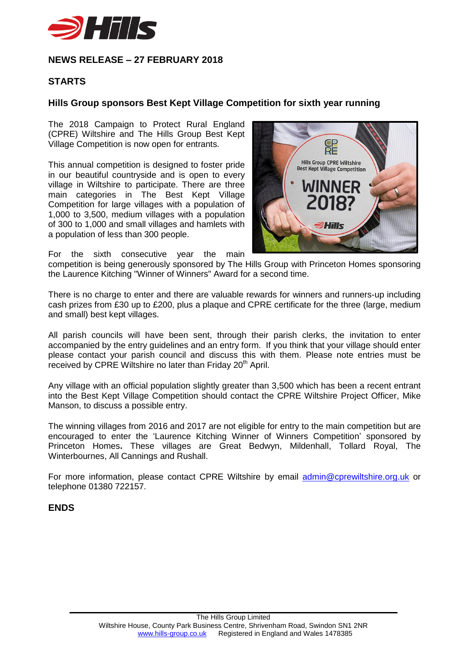

## **NEWS RELEASE – 27 FEBRUARY 2018**

## **STARTS**

## **Hills Group sponsors Best Kept Village Competition for sixth year running**

The 2018 Campaign to Protect Rural England (CPRE) Wiltshire and The Hills Group Best Kept Village Competition is now open for entrants.

This annual competition is designed to foster pride in our beautiful countryside and is open to every village in Wiltshire to participate. There are three main categories in The Best Kept Village Competition for large villages with a population of 1,000 to 3,500, medium villages with a population of 300 to 1,000 and small villages and hamlets with a population of less than 300 people.



For the sixth consecutive year the main

competition is being generously sponsored by The Hills Group with Princeton Homes sponsoring the Laurence Kitching "Winner of Winners" Award for a second time.

There is no charge to enter and there are valuable rewards for winners and runners-up including cash prizes from £30 up to £200, plus a plaque and CPRE certificate for the three (large, medium and small) best kept villages.

All parish councils will have been sent, through their parish clerks, the invitation to enter accompanied by the entry guidelines and an entry form. If you think that your village should enter please contact your parish council and discuss this with them. Please note entries must be received by CPRE Wiltshire no later than Friday 20<sup>th</sup> April.

Any village with an official population slightly greater than 3,500 which has been a recent entrant into the Best Kept Village Competition should contact the CPRE Wiltshire Project Officer, Mike Manson, to discuss a possible entry.

The winning villages from 2016 and 2017 are not eligible for entry to the main competition but are encouraged to enter the 'Laurence Kitching Winner of Winners Competition' sponsored by Princeton Homes**.** These villages are Great Bedwyn, Mildenhall, Tollard Royal, The Winterbournes, All Cannings and Rushall.

For more information, please contact CPRE Wiltshire by email [admin@cprewiltshire.org.uk](mailto:admin@cprewiltshire.org.uk) or telephone 01380 722157.

## **ENDS**